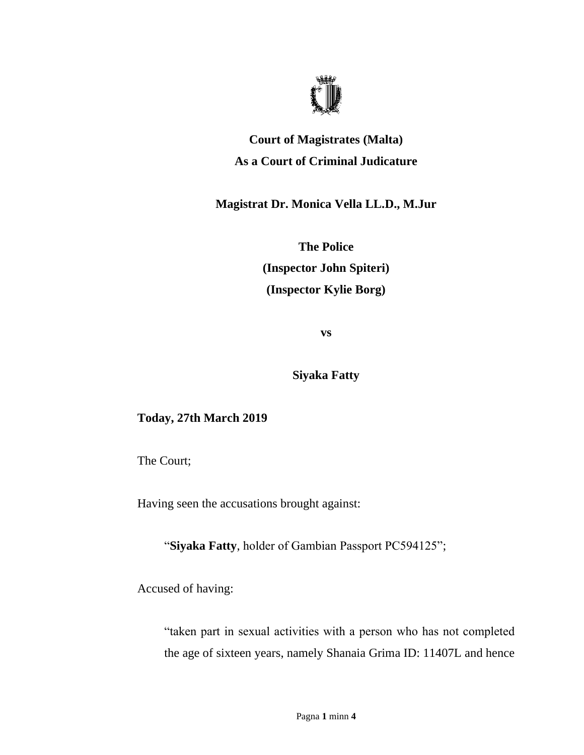

## **Court of Magistrates (Malta) As a Court of Criminal Judicature**

**Magistrat Dr. Monica Vella LL.D., M.Jur**

**The Police (Inspector John Spiteri) (Inspector Kylie Borg)**

**vs**

**Siyaka Fatty**

## **Today, 27th March 2019**

The Court;

Having seen the accusations brought against:

"**Siyaka Fatty**, holder of Gambian Passport PC594125";

Accused of having:

"taken part in sexual activities with a person who has not completed the age of sixteen years, namely Shanaia Grima ID: 11407L and hence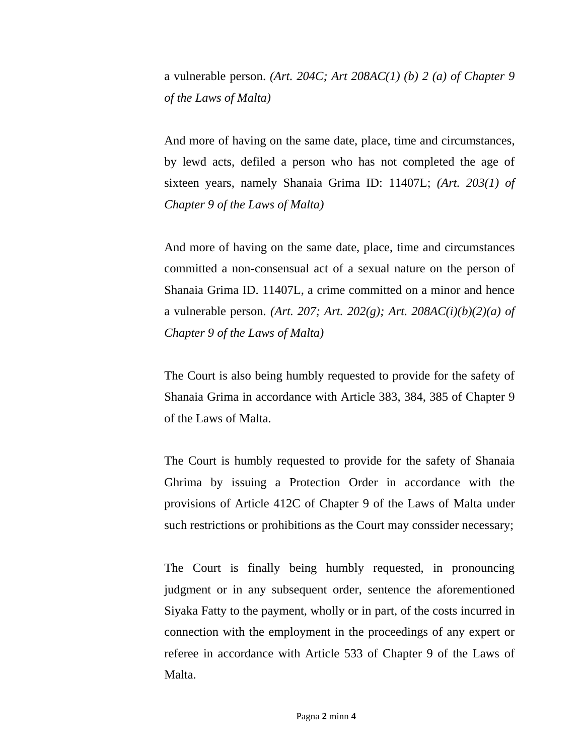a vulnerable person. *(Art. 204C; Art 208AC(1) (b) 2 (a) of Chapter 9 of the Laws of Malta)*

And more of having on the same date, place, time and circumstances, by lewd acts, defiled a person who has not completed the age of sixteen years, namely Shanaia Grima ID: 11407L; *(Art. 203(1) of Chapter 9 of the Laws of Malta)*

And more of having on the same date, place, time and circumstances committed a non-consensual act of a sexual nature on the person of Shanaia Grima ID. 11407L, a crime committed on a minor and hence a vulnerable person. *(Art. 207; Art. 202(g); Art. 208AC(i)(b)(2)(a) of Chapter 9 of the Laws of Malta)*

The Court is also being humbly requested to provide for the safety of Shanaia Grima in accordance with Article 383, 384, 385 of Chapter 9 of the Laws of Malta.

The Court is humbly requested to provide for the safety of Shanaia Ghrima by issuing a Protection Order in accordance with the provisions of Article 412C of Chapter 9 of the Laws of Malta under such restrictions or prohibitions as the Court may conssider necessary;

The Court is finally being humbly requested, in pronouncing judgment or in any subsequent order, sentence the aforementioned Siyaka Fatty to the payment, wholly or in part, of the costs incurred in connection with the employment in the proceedings of any expert or referee in accordance with Article 533 of Chapter 9 of the Laws of Malta.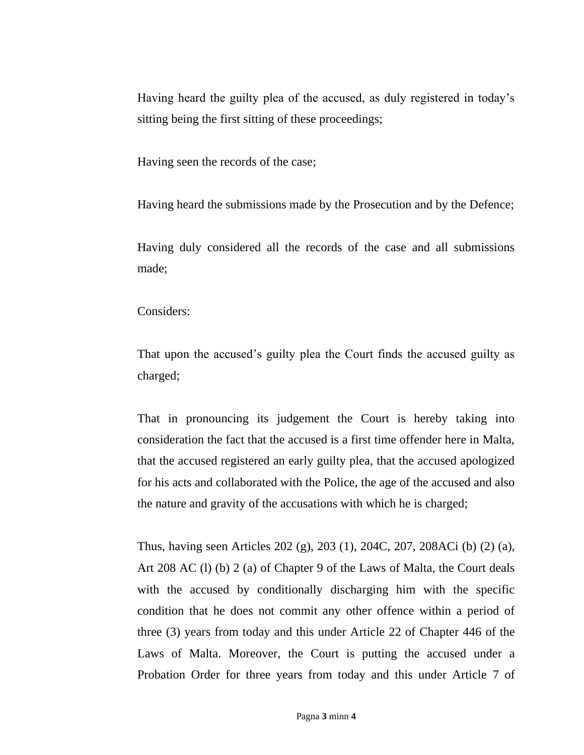Having heard the guilty plea of the accused, as duly registered in today's sitting being the first sitting of these proceedings;

Having seen the records of the case;

Having heard the submissions made by the Prosecution and by the Defence;

Having duly considered all the records of the case and all submissions made;

Considers:

That upon the accused's guilty plea the Court finds the accused guilty as charged;

That in pronouncing its judgement the Court is hereby taking into consideration the fact that the accused is a first time offender here in Malta, that the accused registered an early guilty plea, that the accused apologized for his acts and collaborated with the Police, the age of the accused and also the nature and gravity of the accusations with which he is charged;

Thus, having seen Articles 202 (g), 203 (1), 204C, 207, 208ACi (b) (2) (a), Art 208 AC (l) (b) 2 (a) of Chapter 9 of the Laws of Malta, the Court deals with the accused by conditionally discharging him with the specific condition that he does not commit any other offence within a period of three (3) years from today and this under Article 22 of Chapter 446 of the Laws of Malta. Moreover, the Court is putting the accused under a Probation Order for three years from today and this under Article 7 of